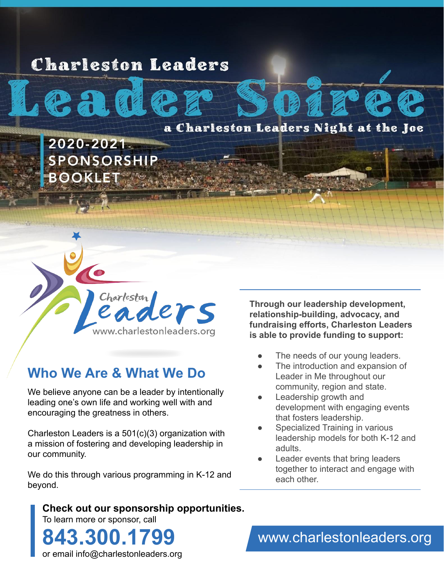# **Charleston Leaders**



2020-2021 **SPONSORSHIP BOOKLET** 



## **Who We Are & What We Do**

We believe anyone can be a leader by intentionally leading one's own life and working well with and encouraging the greatness in others.

Charleston Leaders is a 501(c)(3) organization with a mission of fostering and developing leadership in our community.

We do this through various programming in K-12 and beyond.

**Check out our sponsorship opportunities.** To learn more or sponsor, call **843.300.1799**

**Through our leadership development, relationship-building, advocacy, and fundraising efforts, Charleston Leaders is able to provide funding to support:**

- The needs of our young leaders.
- The introduction and expansion of Leader in Me throughout our community, region and state.
- Leadership growth and development with engaging events that fosters leadership.
- Specialized Training in various leadership models for both K-12 and adults.
- Leader events that bring leaders together to interact and engage with each other.

or email info@charlestonleaders.org